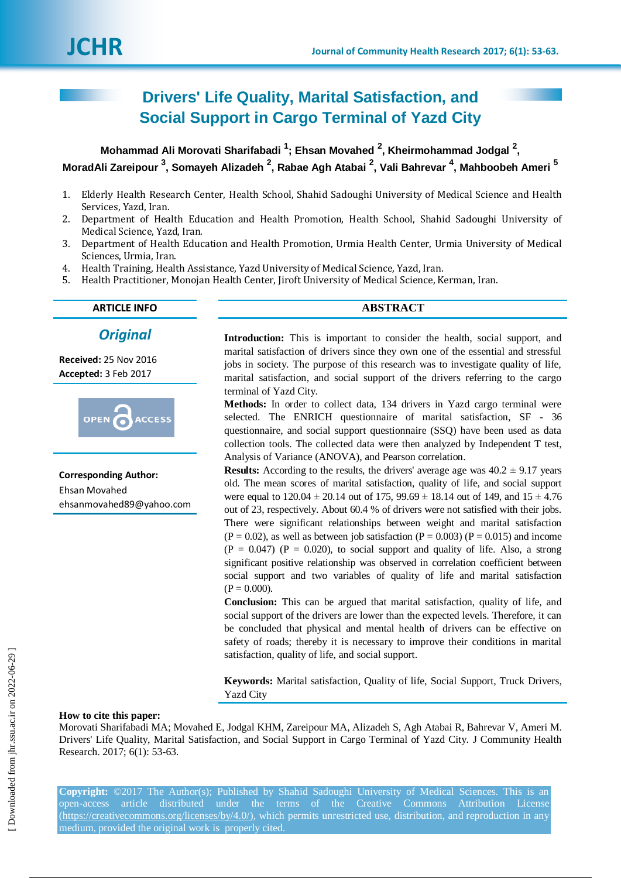# **Drivers' Life Quality, Marital Satisfaction, and Social Support in Cargo Terminal of Yazd City**

**Mohammad Ali Morovati Sharifabadi <sup>1</sup> ; Ehsan Movahed <sup>2</sup> , Kheirmohammad Jodgal <sup>2</sup> , MoradAli Zareipour <sup>3</sup> , Somayeh Alizadeh <sup>2</sup> , Rabae Agh Atabai <sup>2</sup> , Vali Bahrevar <sup>4</sup> , Mahboobeh Ameri <sup>5</sup>**

- 1. Elderly Health Research Center, Health School, Shahid Sadoughi University of Medical Science and Health Services, Yazd, Iran.
- 2. Department of Health Education and Health Promotion, Health School, Shahid Sadoughi University of Medical Science, Yazd, Iran.
- 3. Department of Health Education and Health Promotion, Urmia Health Center, Urmia University of Medical Sciences, Urmia, Iran.
- 4. Health Training, Health Assistance, Yazd University of Medical Science, Yazd, Iran.
- 5. Health Practitioner, Monojan Health Center, Jiroft University of Medical Science, Kerman, Iran.

*Original*

**Received:** 25 Nov 2016 **Accepted:** 3 Feb 2017



**Corresponding Author:** Ehsan Movahed ehsanmovahed89@yahoo.com

# **ARTICLE INFO ABSTRACT**

**Introduction:** This is important to consider the health, social support, and marital satisfaction of drivers since they own one of the essential and stressful jobs in society. The purpose of this research was to investigate quality of life, marital satisfaction, and social support of the drivers referring to the cargo terminal of Yazd City.

**Methods:** In order to collect data, 134 drivers in Yazd cargo terminal were selected. The ENRICH questionnaire of marital satisfaction, SF - 36 questionnaire, and social support questionnaire (SSQ) have been used as data collection tools. The collected data were then analyzed by Independent T test, Analysis of Variance (ANOVA), and Pearson correlation.

**Results:** According to the results, the drivers' average age was  $40.2 \pm 9.17$  years old. The mean scores of marital satisfaction, quality of life, and social support were equal to  $120.04 \pm 20.14$  out of  $175$ ,  $99.69 \pm 18.14$  out of 149, and  $15 \pm 4.76$ out of 23, respectively. About 60.4 % of drivers were not satisfied with their jobs. There were significant relationships between weight and marital satisfaction  $(P = 0.02)$ , as well as between job satisfaction  $(P = 0.003)$   $(P = 0.015)$  and income  $(P = 0.047)$   $(P = 0.020)$ , to social support and quality of life. Also, a strong significant positive relationship was observed in correlation coefficient between social support and two variables of quality of life and marital satisfaction  $(P = 0.000)$ .

**Conclusion:** This can be argued that marital satisfaction, quality of life, and social support of the drivers are lower than the expected levels. Therefore, it can be concluded that physical and mental health of drivers can be effective on safety of roads; thereby it is necessary to improve their conditions in marital satisfaction, quality of life, and social support.

**Keywords:** Marital satisfaction, Quality of life, Social Support, Truck Drivers, Yazd City

#### **How to cite this paper:**

Morovati Sharifabadi MA; Movahed E, Jodgal KHM, Zareipour MA, Alizadeh S, Agh Atabai R, Bahrevar V, Ameri M. Drivers' Life Quality, Marital Satisfaction, and Social Support in Cargo Terminal of Yazd City. J Community Health Research. 2017; 6(1): 53-63.

**Copyright:** ©2017 The Author(s); Published by Shahid Sadoughi University of Medical Sciences. This is an open-access article distributed under the terms of the Creative Commons Attribution License (https://creativecommons.org/licenses/by/4.0/), which permits unrestricted use, distribution, and reproduction in any medium, provided the original work is properly cited.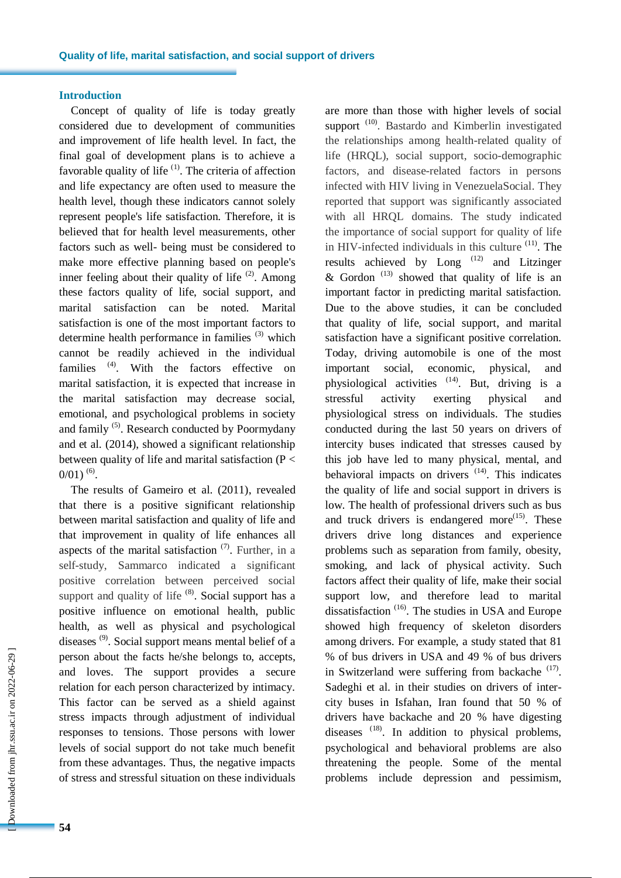# **Introduction**

Concept of quality of life is today greatly considered due to development of communities and improvement of life health level. In fact, the final goal of development plans is to achieve a favorable quality of life  $(1)$ . The criteria of affection and life expectancy are often used to measure the health level, though these indicators cannot solely represent people's life satisfaction. Therefore, it is believed that for health level measurements, other factors such as well- being must be considered to make more effective planning based on people's inner feeling about their quality of life  $(2)$ . Among these factors quality of life, social support, and marital satisfaction can be noted. Marital satisfaction is one of the most important factors to determine health performance in families (3) which cannot be readily achieved in the individual families <sup>(4)</sup>. With the factors effective on marital satisfaction, it is expected that increase in the marital satisfaction may decrease social, emotional, and psychological problems in society and family<sup>(5)</sup>. Research conducted by Poormydany and et al. (2014), showed a significant relationship between quality of life and marital satisfaction (P <  $0/01)$ <sup>(6)</sup>.

The results of Gameiro et al. (2011), revealed that there is a positive significant relationship between marital satisfaction and quality of life and that improvement in quality of life enhances all aspects of the marital satisfaction  $(7)$ . Further, in a self-study, Sammarco indicated a significant positive correlation between perceived social support and quality of life  $(8)$ . Social support has a positive influence on emotional health, public health, as well as physical and psychological diseases<sup>(9)</sup>. Social support means mental belief of a person about the facts he/she belongs to, accepts, and loves. The support provides a secure relation for each person characterized by intimacy. This factor can be served as a shield against stress impacts through adjustment of individual responses to tensions. Those persons with lower levels of social support do not take much benefit from these advantages. Thus, the negative impacts of stress and stressful situation on these individuals

are more than those with higher levels of social support<sup>(10)</sup>. Bastardo and Kimberlin investigated the relationships among health-related quality of life (HRQL), social support, socio-demographic factors, and disease-related factors in persons infected with HIV living in VenezuelaSocial. They reported that support was significantly associated with all HRQL domains. The study indicated the importance of social support for quality of life in HIV-infected individuals in this culture <sup>(11)</sup>. The results achieved by  $Long^{(12)}$  and Litzinger & Gordon<sup> $(13)$ </sup> showed that quality of life is an important factor in predicting marital satisfaction. Due to the above studies, it can be concluded that quality of life, social support, and marital satisfaction have a significant positive correlation. Today, driving automobile is one of the most important social, economic, physical, and physiological activities  $(14)$ . But, driving is a stressful activity exerting physical and physiological stress on individuals. The studies conducted during the last 50 years on drivers of intercity buses indicated that stresses caused by this job have led to many physical, mental, and behavioral impacts on drivers  $(14)$ . This indicates the quality of life and social support in drivers is low. The health of professional drivers such as bus and truck drivers is endangered more $^{(15)}$ . These drivers drive long distances and experience problems such as separation from family, obesity, smoking, and lack of physical activity. Such factors affect their quality of life, make their social support low, and therefore lead to marital dissatisfaction<sup>(16)</sup>. The studies in USA and Europe showed high frequency of skeleton disorders among drivers. For example, a study stated that 81 % of bus drivers in USA and 49 % of bus drivers in Switzerland were suffering from backache  $(17)$ . Sadeghi et al. in their studies on drivers of intercity buses in Isfahan, Iran found that 50 % of drivers have backache and 20 % have digesting diseases <sup>(18)</sup>. In addition to physical problems, psychological and behavioral problems are also threatening the people. Some of the mental problems include depression and pessimism,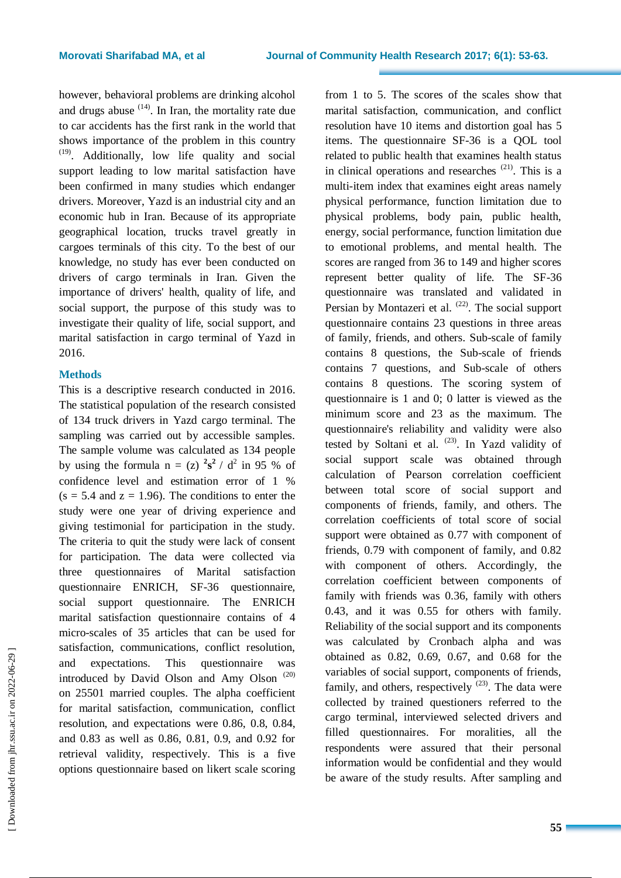however, behavioral problems are drinking alcohol and drugs abuse  $(14)$ . In Iran, the mortality rate due to car accidents has the first rank in the world that shows importance of the problem in this country (19) . Additionally, low life quality and social support leading to low marital satisfaction have been confirmed in many studies which endanger drivers. Moreover, Yazd is an industrial city and an economic hub in Iran. Because of its appropriate geographical location, trucks travel greatly in cargoes terminals of this city. To the best of our knowledge, no study has ever been conducted on drivers of cargo terminals in Iran. Given the importance of drivers' health, quality of life, and social support, the purpose of this study was to investigate their quality of life, social support, and marital satisfaction in cargo terminal of Yazd in 2016.

### **Methods**

This is a descriptive research conducted in 2016. The statistical population of the research consisted of 134 truck drivers in Yazd cargo terminal. The sampling was carried out by accessible samples. The sample volume was calculated as 134 people by using the formula  $n = (z)$   $2s^2 / d^2$  in 95 % of confidence level and estimation error of 1 %  $(s = 5.4$  and  $z = 1.96$ ). The conditions to enter the study were one year of driving experience and giving testimonial for participation in the study. The criteria to quit the study were lack of consent for participation. The data were collected via three questionnaires of Marital satisfaction questionnaire ENRICH, SF-36 questionnaire, social support questionnaire. The ENRICH marital satisfaction questionnaire contains of 4 micro-scales of 35 articles that can be used for satisfaction, communications, conflict resolution, and expectations. This questionnaire was introduced by David Olson and Amy Olson  $(20)$ on 25501 married couples. The alpha coefficient for marital satisfaction, communication, conflict resolution, and expectations were 0.86, 0.8, 0.84, and 0.83 as well as 0.86, 0.81, 0.9, and 0.92 for retrieval validity, respectively. This is a five options questionnaire based on likert scale scoring

from 1 to 5. The scores of the scales show that marital satisfaction, communication, and conflict resolution have 10 items and distortion goal has 5 items. The questionnaire SF-36 is a QOL tool related to public health that examines health status in clinical operations and researches<sup>(21)</sup>. This is a multi-item index that examines eight areas namely physical performance, function limitation due to physical problems, body pain, public health, energy, social performance, function limitation due to emotional problems, and mental health. The scores are ranged from 36 to 149 and higher scores represent better quality of life. The SF-36 questionnaire was translated and validated in Persian by Montazeri et al.  $(22)$ . The social support questionnaire contains 23 questions in three areas of family, friends, and others. Sub-scale of family contains 8 questions, the Sub-scale of friends contains 7 questions, and Sub-scale of others contains 8 questions. The scoring system of questionnaire is 1 and 0; 0 latter is viewed as the minimum score and 23 as the maximum. The questionnaire's reliability and validity were also tested by Soltani et al.  $(23)$ . In Yazd validity of social support scale was obtained through calculation of Pearson correlation coefficient between total score of social support and components of friends, family, and others. The correlation coefficients of total score of social support were obtained as 0.77 with component of friends, 0.79 with component of family, and 0.82 with component of others. Accordingly, the correlation coefficient between components of family with friends was 0.36, family with others 0.43, and it was 0.55 for others with family. Reliability of the social support and its components was calculated by Cronbach alpha and was obtained as 0.82, 0.69, 0.67, and 0.68 for the variables of social support, components of friends, family, and others, respectively  $(23)$ . The data were collected by trained questioners referred to the cargo terminal, interviewed selected drivers and filled questionnaires. For moralities, all the respondents were assured that their personal information would be confidential and they would be aware of the study results. After sampling and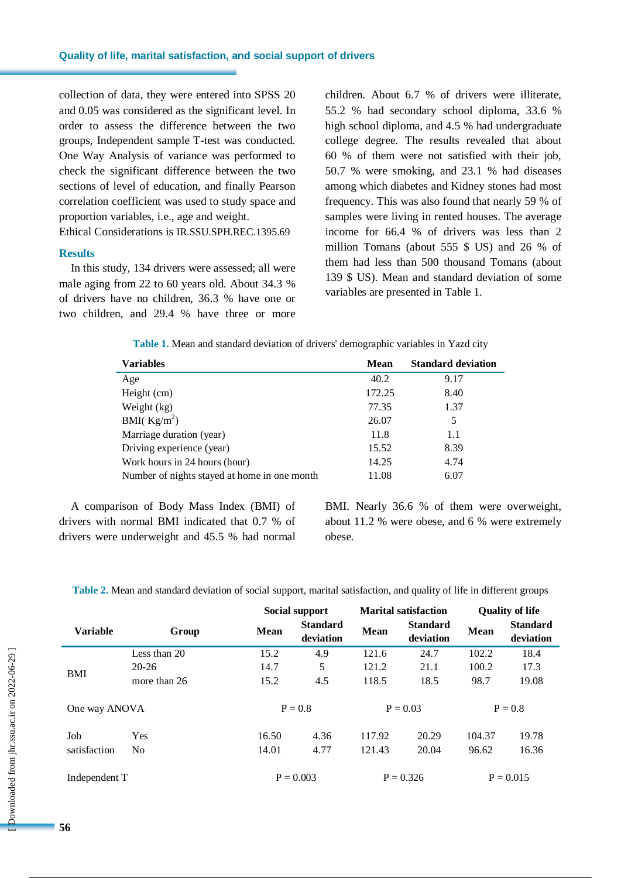collection of data, they were entered into SPSS 20 and 0.05 was considered as the significant level. In order to assess the difference between the two groups, Independent sample T-test was conducted. One Way Analysis of variance was performed to check the significant difference between the two sections of level of education, and finally Pearson correlation coefficient was used to study space and proportion variables, i.e., age and weight. Ethical Considerations is IR.SSU.SPH.REC.1395.69

#### **Results**

In this study, 134 drivers were assessed; all were male aging from 22 to 60 years old. About 34.3 % of drivers have no children, 36.3 % have one or two children, and 29.4 % have three or more children. About 6.7 % of drivers were illiterate, 55.2 % had secondary school diploma, 33.6 % high school diploma, and 4.5 % had undergraduate college degree. The results revealed that about 60 % of them were not satisfied with their job, 50.7 % were smoking, and 23.1 % had diseases among which diabetes and Kidney stones had most frequency. This was also found that nearly 59 % of samples were living in rented houses. The average income for 66.4 % of drivers was less than 2 million Tomans (about 555 \$ US) and 26 % of them had less than 500 thousand Tomans (about 139 \$ US). Mean and standard deviation of some variables are presented in Table 1.

**Table 1.** Mean and standard deviation of drivers' demographic variables in Yazd city

| Variables                                    | Mean   | <b>Standard deviation</b> |
|----------------------------------------------|--------|---------------------------|
| Age                                          | 40.2   | 9.17                      |
| Height (cm)                                  | 172.25 | 8.40                      |
| Weight (kg)                                  | 77.35  | 1.37                      |
| BMI( $\text{Kg/m}^2$ )                       | 26.07  | 5                         |
| Marriage duration (year)                     | 11.8   | 1.1                       |
| Driving experience (year)                    | 15.52  | 8.39                      |
| Work hours in 24 hours (hour)                | 14.25  | 4.74                      |
| Number of nights stayed at home in one month | 11.08  | 6.07                      |

A comparison of Body Mass Index (BMI) of drivers with normal BMI indicated that 0.7 % of drivers were underweight and 45.5 % had normal BMI. Nearly 36.6 % of them were overweight, about 11.2 % were obese, and 6 % were extremely obese.

**Table 2.** Mean and standard deviation of social support, marital satisfaction, and quality of life in different groups

|                 |                | Social support |                              | <b>Marital satisfaction</b> |                              | <b>Quality of life</b> |                              |
|-----------------|----------------|----------------|------------------------------|-----------------------------|------------------------------|------------------------|------------------------------|
| <b>Variable</b> | Group          | <b>Mean</b>    | <b>Standard</b><br>deviation | <b>Mean</b>                 | <b>Standard</b><br>deviation | <b>Mean</b>            | <b>Standard</b><br>deviation |
|                 | Less than 20   | 15.2           | 4.9                          | 121.6                       | 24.7                         | 102.2                  | 18.4                         |
|                 | 20-26          | 14.7           | 5                            | 121.2                       | 21.1                         | 100.2                  | 17.3                         |
| BMI             | more than 26   | 15.2           | 4.5                          | 118.5                       | 18.5                         | 98.7                   | 19.08                        |
|                 | One way ANOVA  |                | $P = 0.8$                    |                             | $P = 0.03$                   |                        | $P = 0.8$                    |
| Job             | <b>Yes</b>     | 16.50          | 4.36                         | 117.92                      | 20.29                        | 104.37                 | 19.78                        |
| satisfaction    | N <sub>0</sub> | 14.01          | 4.77                         | 121.43                      | 20.04                        | 96.62                  | 16.36                        |
| Independent T   |                |                | $P = 0.003$                  |                             | $P = 0.326$                  |                        | $P = 0.015$                  |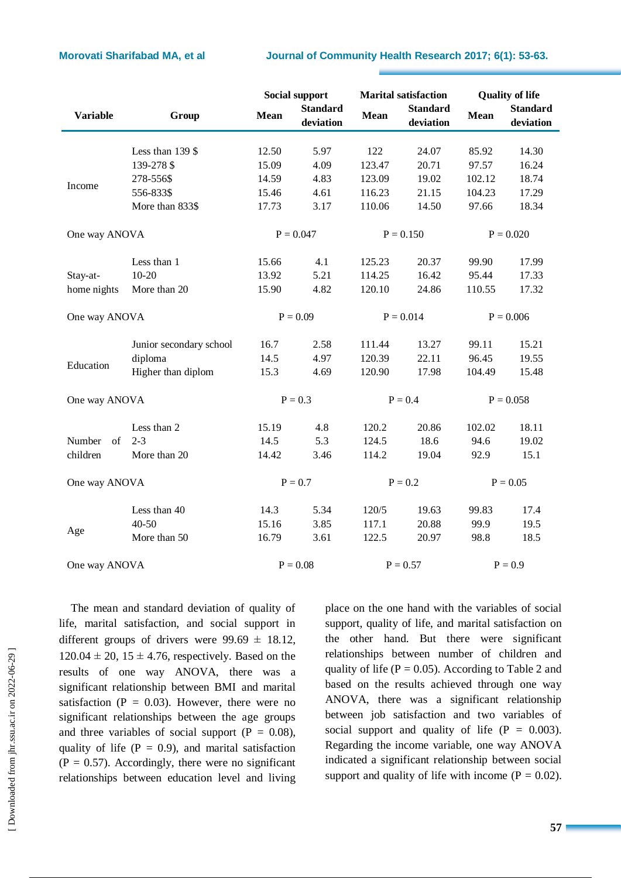# **Morovati Sharifabad MA, et al Journal of Community Health Research 2017; 6(1): 53-63.**

|                 |                         | <b>Social support</b> |                              | <b>Marital satisfaction</b> |                              | <b>Quality of life</b> |                              |
|-----------------|-------------------------|-----------------------|------------------------------|-----------------------------|------------------------------|------------------------|------------------------------|
| <b>Variable</b> | Group                   | Mean                  | <b>Standard</b><br>deviation | Mean                        | <b>Standard</b><br>deviation | <b>Mean</b>            | <b>Standard</b><br>deviation |
|                 |                         |                       |                              |                             |                              |                        |                              |
|                 | Less than 139 \$        | 12.50                 | 5.97                         | 122                         | 24.07                        | 85.92                  | 14.30                        |
|                 | 139-278 \$              | 15.09                 | 4.09                         | 123.47                      | 20.71                        | 97.57                  | 16.24                        |
| Income          | 278-556\$               | 14.59                 | 4.83                         | 123.09                      | 19.02                        | 102.12                 | 18.74                        |
|                 | 556-833\$               | 15.46                 | 4.61                         | 116.23                      | 21.15                        | 104.23                 | 17.29                        |
|                 | More than 833\$         | 17.73                 | 3.17                         | 110.06                      | 14.50                        | 97.66                  | 18.34                        |
| One way ANOVA   |                         | $P = 0.047$           |                              | $P = 0.150$                 |                              | $P = 0.020$            |                              |
|                 | Less than 1             | 15.66                 | 4.1                          | 125.23                      | 20.37                        | 99.90                  | 17.99                        |
| Stay-at-        | $10 - 20$               | 13.92                 | 5.21                         | 114.25                      | 16.42                        | 95.44                  | 17.33                        |
| home nights     | More than 20            | 15.90                 | 4.82                         | 120.10                      | 24.86                        | 110.55                 | 17.32                        |
| One way ANOVA   |                         | $P = 0.09$            |                              | $P = 0.014$                 |                              | $P = 0.006$            |                              |
|                 | Junior secondary school | 16.7                  | 2.58                         | 111.44                      | 13.27                        | 99.11                  | 15.21                        |
| Education       | diploma                 | 14.5                  | 4.97                         | 120.39                      | 22.11                        | 96.45                  | 19.55                        |
|                 | Higher than diplom      | 15.3                  | 4.69                         | 120.90                      | 17.98                        | 104.49                 | 15.48                        |
| One way ANOVA   |                         | $P = 0.3$             |                              | $P = 0.4$                   |                              | $P = 0.058$            |                              |
|                 | Less than 2             | 15.19                 | 4.8                          | 120.2                       | 20.86                        | 102.02                 | 18.11                        |
| Number<br>of    | $2 - 3$                 | 14.5                  | 5.3                          | 124.5                       | 18.6                         | 94.6                   | 19.02                        |
| children        | More than 20            | 14.42                 | 3.46                         | 114.2                       | 19.04                        | 92.9                   | 15.1                         |
| One way ANOVA   |                         | $P = 0.7$             |                              | $P = 0.2$                   |                              | $P = 0.05$             |                              |
|                 | Less than 40            | 14.3                  | 5.34                         | 120/5                       | 19.63                        | 99.83                  | 17.4                         |
|                 | $40 - 50$               | 15.16                 | 3.85                         | 117.1                       | 20.88                        | 99.9                   | 19.5                         |
| Age             | More than 50            | 16.79                 | 3.61                         | 122.5                       | 20.97                        | 98.8                   | 18.5                         |
| One way ANOVA   |                         |                       | $P = 0.08$                   |                             | $P = 0.57$                   |                        | $P = 0.9$                    |

The mean and standard deviation of quality of life, marital satisfaction, and social support in different groups of drivers were  $99.69 \pm 18.12$ ,  $120.04 \pm 20$ ,  $15 \pm 4.76$ , respectively. Based on the results of one way ANOVA, there was a significant relationship between BMI and marital satisfaction ( $P = 0.03$ ). However, there were no significant relationships between the age groups and three variables of social support ( $P = 0.08$ ), quality of life ( $P = 0.9$ ), and marital satisfaction  $(P = 0.57)$ . Accordingly, there were no significant relationships between education level and living place on the one hand with the variables of social support, quality of life, and marital satisfaction on the other hand. But there were significant relationships between number of children and quality of life ( $P = 0.05$ ). According to Table 2 and based on the results achieved through one way ANOVA, there was a significant relationship between job satisfaction and two variables of social support and quality of life  $(P = 0.003)$ . Regarding the income variable, one way ANOVA indicated a significant relationship between social support and quality of life with income  $(P = 0.02)$ .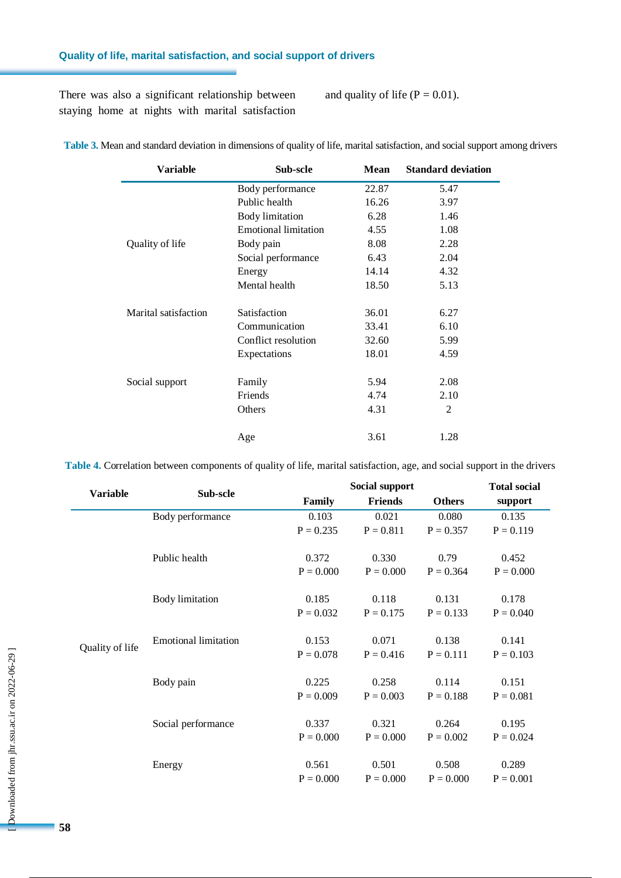# **Quality of life, marital satisfaction, and social support of drivers**

There was also a significant relationship between staying home at nights with marital satisfaction and quality of life ( $P = 0.01$ ).

| Variable             | Sub-scle                    | Mean  | <b>Standard deviation</b> |
|----------------------|-----------------------------|-------|---------------------------|
|                      | Body performance            | 22.87 | 5.47                      |
|                      | Public health               | 16.26 | 3.97                      |
|                      | <b>Body</b> limitation      | 6.28  | 1.46                      |
|                      | <b>Emotional limitation</b> | 4.55  | 1.08                      |
| Quality of life      | Body pain                   | 8.08  | 2.28                      |
|                      | Social performance          | 6.43  | 2.04                      |
|                      | Energy                      | 14.14 | 4.32                      |
|                      | Mental health               | 18.50 | 5.13                      |
| Marital satisfaction | Satisfaction                | 36.01 | 6.27                      |
|                      | Communication               | 33.41 | 6.10                      |
|                      | Conflict resolution         | 32.60 | 5.99                      |
|                      | Expectations                | 18.01 | 4.59                      |
| Social support       | Family                      | 5.94  | 2.08                      |
|                      | Friends                     | 4.74  | 2.10                      |
|                      | Others                      | 4.31  | 2                         |
|                      | Age                         | 3.61  | 1.28                      |

**Table 3.** Mean and standard deviation in dimensions of quality of life, marital satisfaction, and social support among drivers

**Table 4.** Correlation between components of quality of life, marital satisfaction, age, and social support in the drivers

|                 | Sub-scle                    | Social support | <b>Total social</b> |               |             |
|-----------------|-----------------------------|----------------|---------------------|---------------|-------------|
| <b>Variable</b> |                             | Family         | <b>Friends</b>      | <b>Others</b> | support     |
|                 | Body performance            | 0.103          | 0.021               | 0.080         | 0.135       |
|                 |                             | $P = 0.235$    | $P = 0.811$         | $P = 0.357$   | $P = 0.119$ |
|                 |                             |                |                     |               |             |
|                 | Public health               | 0.372          | 0.330               | 0.79          | 0.452       |
|                 |                             | $P = 0.000$    | $P = 0.000$         | $P = 0.364$   | $P = 0.000$ |
|                 | <b>Body</b> limitation      | 0.185          | 0.118               | 0.131         | 0.178       |
|                 |                             | $P = 0.032$    | $P = 0.175$         | $P = 0.133$   | $P = 0.040$ |
|                 |                             |                |                     |               |             |
|                 | <b>Emotional limitation</b> | 0.153          | 0.071               | 0.138         | 0.141       |
| Quality of life |                             | $P = 0.078$    | $P = 0.416$         | $P = 0.111$   | $P = 0.103$ |
|                 |                             |                |                     |               |             |
|                 | Body pain                   | 0.225          | 0.258               | 0.114         | 0.151       |
|                 |                             | $P = 0.009$    | $P = 0.003$         | $P = 0.188$   | $P = 0.081$ |
|                 | Social performance          | 0.337          | 0.321               | 0.264         | 0.195       |
|                 |                             | $P = 0.000$    | $P = 0.000$         | $P = 0.002$   | $P = 0.024$ |
|                 |                             |                |                     |               |             |
|                 | Energy                      | 0.561          | 0.501               | 0.508         | 0.289       |
|                 |                             | $P = 0.000$    | $P = 0.000$         | $P = 0.000$   | $P = 0.001$ |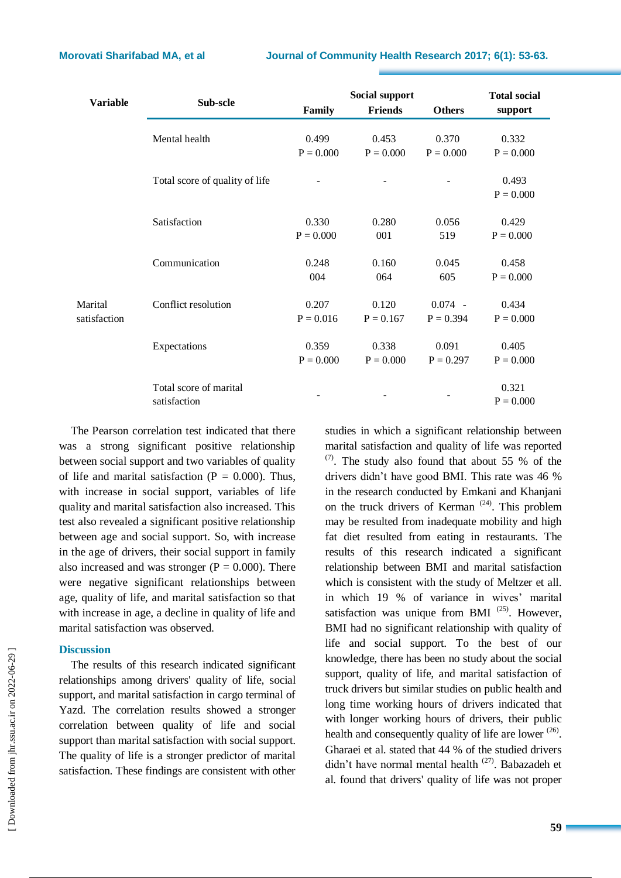| <b>Variable</b> | Sub-scle                       | Social support | <b>Total social</b> |               |             |
|-----------------|--------------------------------|----------------|---------------------|---------------|-------------|
|                 |                                | Family         | <b>Friends</b>      | <b>Others</b> | support     |
|                 |                                |                |                     |               |             |
|                 | Mental health                  | 0.499          | 0.453               | 0.370         | 0.332       |
|                 |                                | $P = 0.000$    | $P = 0.000$         | $P = 0.000$   | $P = 0.000$ |
|                 | Total score of quality of life |                |                     |               | 0.493       |
|                 |                                |                |                     |               | $P = 0.000$ |
|                 |                                |                |                     |               |             |
|                 | Satisfaction                   | 0.330          | 0.280               | 0.056         | 0.429       |
|                 |                                | $P = 0.000$    | 001                 | 519           | $P = 0.000$ |
|                 | Communication                  | 0.248          | 0.160               | 0.045         | 0.458       |
|                 |                                | 004            | 064                 | 605           | $P = 0.000$ |
|                 |                                |                |                     |               |             |
| Marital         | Conflict resolution            | 0.207          | 0.120               | $0.074 -$     | 0.434       |
| satisfaction    |                                | $P = 0.016$    | $P = 0.167$         | $P = 0.394$   | $P = 0.000$ |
|                 | Expectations                   | 0.359          | 0.338               | 0.091         | 0.405       |
|                 |                                | $P = 0.000$    | $P = 0.000$         | $P = 0.297$   | $P = 0.000$ |
|                 | Total score of marital         |                |                     |               | 0.321       |
|                 | satisfaction                   |                |                     |               | $P = 0.000$ |
|                 |                                |                |                     |               |             |

The Pearson correlation test indicated that there was a strong significant positive relationship between social support and two variables of quality of life and marital satisfaction ( $P = 0.000$ ). Thus, with increase in social support, variables of life quality and marital satisfaction also increased. This test also revealed a significant positive relationship between age and social support. So, with increase in the age of drivers, their social support in family also increased and was stronger  $(P = 0.000)$ . There were negative significant relationships between age, quality of life, and marital satisfaction so that with increase in age, a decline in quality of life and marital satisfaction was observed.

## **Discussion**

The results of this research indicated significant relationships among drivers' quality of life, social support, and marital satisfaction in cargo terminal of Yazd. The correlation results showed a stronger correlation between quality of life and social support than marital satisfaction with social support. The quality of life is a stronger predictor of marital satisfaction. These findings are consistent with other studies in which a significant relationship between marital satisfaction and quality of life was reported  $(7)$ . The study also found that about 55 % of the drivers didn't have good BMI. This rate was 46 % in the research conducted by Emkani and Khanjani on the truck drivers of Kerman  $(24)$ . This problem may be resulted from inadequate mobility and high fat diet resulted from eating in restaurants. The results of this research indicated a significant relationship between BMI and marital satisfaction which is consistent with the study of Meltzer et all. in which 19 % of variance in wives' marital satisfaction was unique from BMI  $(25)$ . However, BMI had no significant relationship with quality of life and social support. To the best of our knowledge, there has been no study about the social support, quality of life, and marital satisfaction of truck drivers but similar studies on public health and long time working hours of drivers indicated that with longer working hours of drivers, their public health and consequently quality of life are lower  $(26)$ . Gharaei et al. stated that 44 % of the studied drivers didn't have normal mental health<sup>(27)</sup>. Babazadeh et al. found that drivers' quality of life was not proper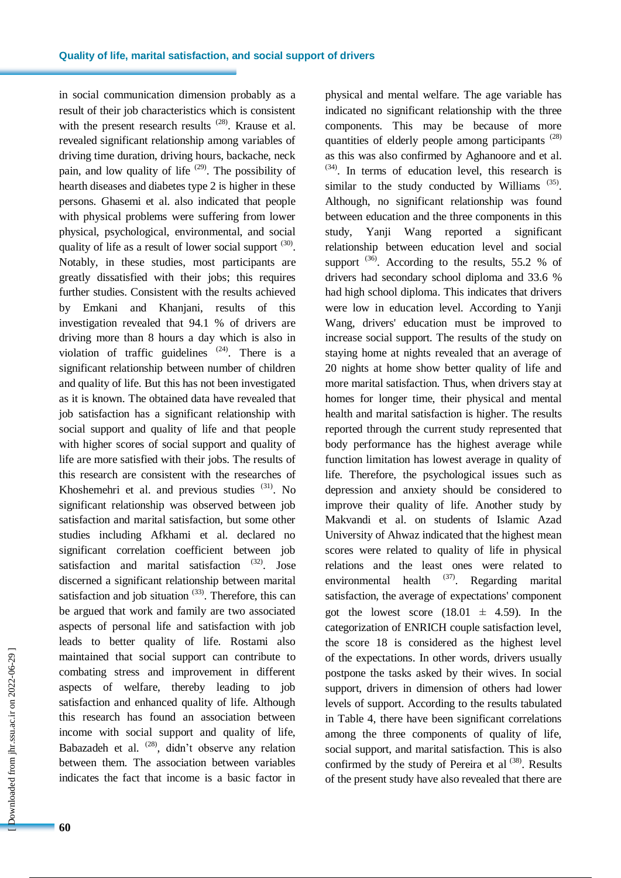in social communication dimension probably as a result of their job characteristics which is consistent with the present research results  $(28)$ . Krause et al. revealed significant relationship among variables of driving time duration, driving hours, backache, neck pain, and low quality of life  $(29)$ . The possibility of hearth diseases and diabetes type 2 is higher in these persons. Ghasemi et al. also indicated that people with physical problems were suffering from lower physical, psychological, environmental, and social quality of life as a result of lower social support  $(30)$ . Notably, in these studies, most participants are greatly dissatisfied with their jobs; this requires further studies. Consistent with the results achieved by Emkani and Khanjani, results of this investigation revealed that 94.1 % of drivers are driving more than 8 hours a day which is also in violation of traffic guidelines  $(24)$ . There is a significant relationship between number of children and quality of life. But this has not been investigated as it is known. The obtained data have revealed that job satisfaction has a significant relationship with social support and quality of life and that people with higher scores of social support and quality of life are more satisfied with their jobs. The results of this research are consistent with the researches of Khoshemehri et al. and previous studies <sup>(31)</sup>. No significant relationship was observed between job satisfaction and marital satisfaction, but some other studies including Afkhami et al. declared no significant correlation coefficient between job satisfaction and marital satisfaction (32). Jose discerned a significant relationship between marital satisfaction and job situation  $(33)$ . Therefore, this can be argued that work and family are two associated aspects of personal life and satisfaction with job leads to better quality of life. Rostami also maintained that social support can contribute to combating stress and improvement in different aspects of welfare, thereby leading to job satisfaction and enhanced quality of life. Although this research has found an association between income with social support and quality of life, Babazadeh et al.  $(28)$ , didn't observe any relation between them. The association between variables indicates the fact that income is a basic factor in

 [\[ Downloaded from jhr.ssu.ac.ir on 2022-0](https://jhr.ssu.ac.ir/article-1-357-en.html)6-29 ] Oownloaded from jhr.ssu.ac.ir on 2022-06-29 ] physical and mental welfare. The age variable has indicated no significant relationship with the three components. This may be because of more quantities of elderly people among participants  $(28)$ as this was also confirmed by Aghanoore and et al. (34) . In terms of education level, this research is similar to the study conducted by Williams  $(35)$ . Although, no significant relationship was found between education and the three components in this study, Yanji Wang reported a significant relationship between education level and social support<sup>(36)</sup>. According to the results, 55.2 % of drivers had secondary school diploma and 33.6 % had high school diploma. This indicates that drivers were low in education level. According to Yanji Wang, drivers' education must be improved to increase social support. The results of the study on staying home at nights revealed that an average of 20 nights at home show better quality of life and more marital satisfaction. Thus, when drivers stay at homes for longer time, their physical and mental health and marital satisfaction is higher. The results reported through the current study represented that body performance has the highest average while function limitation has lowest average in quality of life. Therefore, the psychological issues such as depression and anxiety should be considered to improve their quality of life. Another study by Makvandi et al. on students of Islamic Azad University of Ahwaz indicated that the highest mean scores were related to quality of life in physical relations and the least ones were related to environmental health <sup>(37)</sup>. Regarding marital satisfaction, the average of expectations' component got the lowest score  $(18.01 \pm 4.59)$ . In the categorization of ENRICH couple satisfaction level, the score 18 is considered as the highest level of the expectations. In other words, drivers usually postpone the tasks asked by their wives. In social support, drivers in dimension of others had lower levels of support. According to the results tabulated in Table 4, there have been significant correlations among the three components of quality of life, social support, and marital satisfaction. This is also confirmed by the study of Pereira et al  $(38)$ . Results of the present study have also revealed that there are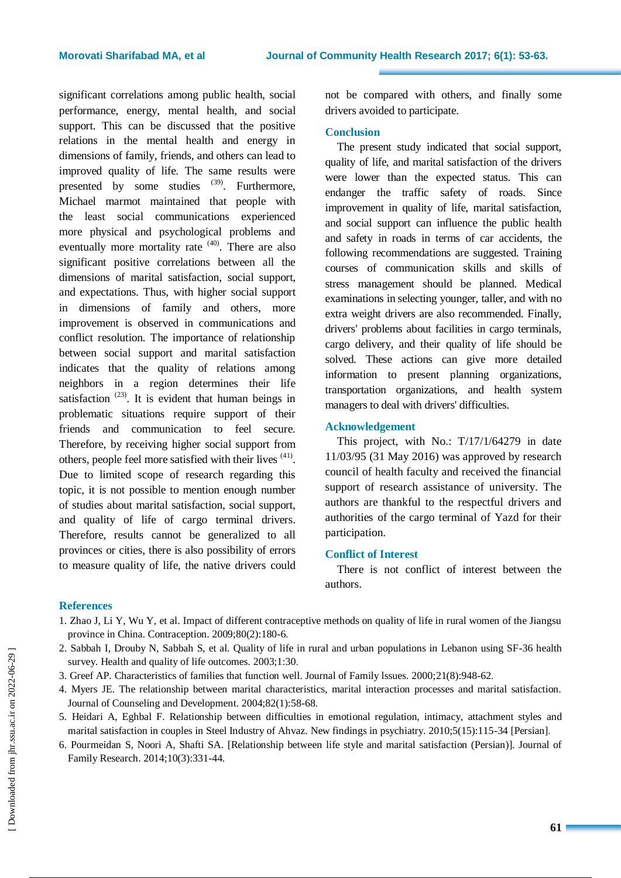significant correlations among public health, social performance, energy, mental health, and social support. This can be discussed that the positive relations in the mental health and energy in dimensions of family, friends, and others can lead to improved quality of life. The same results were presented by some studies  $(39)$ . Furthermore, Michael marmot maintained that people with the least social communications experienced more physical and psychological problems and eventually more mortality rate  $(40)$ . There are also significant positive correlations between all the dimensions of marital satisfaction, social support, and expectations. Thus, with higher social support in dimensions of family and others, more improvement is observed in communications and conflict resolution. The importance of relationship between social support and marital satisfaction indicates that the quality of relations among neighbors in a region determines their life satisfaction<sup> $(23)$ </sup>. It is evident that human beings in problematic situations require support of their friends and communication to feel secure. Therefore, by receiving higher social support from others, people feel more satisfied with their lives <sup>(41)</sup>. Due to limited scope of research regarding this topic, it is not possible to mention enough number of studies about marital satisfaction, social support, and quality of life of cargo terminal drivers. Therefore, results cannot be generalized to all provinces or cities, there is also possibility of errors to measure quality of life, the native drivers could

not be compared with others, and finally some drivers avoided to participate.

# **Conclusion**

The present study indicated that social support, quality of life, and marital satisfaction of the drivers were lower than the expected status. This can endanger the traffic safety of roads. Since improvement in quality of life, marital satisfaction, and social support can influence the public health and safety in roads in terms of car accidents, the following recommendations are suggested. Training courses of communication skills and skills of stress management should be planned. Medical examinations in selecting younger, taller, and with no extra weight drivers are also recommended. Finally, drivers' problems about facilities in cargo terminals, cargo delivery, and their quality of life should be solved. These actions can give more detailed information to present planning organizations, transportation organizations, and health system managers to deal with drivers' difficulties.

# **Acknowledgement**

This project, with No.: T/17/1/64279 in date 11/03/95 (31 May 2016) was approved by research council of health faculty and received the financial support of research assistance of university. The authors are thankful to the respectful drivers and authorities of the cargo terminal of Yazd for their participation.

# **Conflict of Interest**

There is not conflict of interest between the authors.

# **References**

- 1. Zhao J, Li Y, Wu Y, et al. Impact of different contraceptive methods on quality of life in rural women of the Jiangsu province in China. Contraception. 2009;80(2):180-6.
- 2. Sabbah I, Drouby N, Sabbah S, et al. Quality of life in rural and urban populations in Lebanon using SF-36 health survey. Health and quality of life outcomes. 2003;1:30.
- 3. Greef AP. Characteristics of families that function well. Journal of Family lssues. 2000;21(8):948-62.
- 4. Myers JE. The relationship between marital characteristics, marital interaction processes and marital satisfaction. Journal of Counseling and Development. 2004;82(1):58-68.
- 5. Heidari A, Eghbal F. Relationship between difficulties in emotional regulation, intimacy, attachment styles and marital satisfaction in couples in Steel Industry of Ahvaz. New findings in psychiatry. 2010;5(15):115-34 [Persian].
- 6. Pourmeidan S, Noori A, Shafti SA. [Relationship between life style and marital satisfaction (Persian)]. Journal of Family Research. 2014;10(3):331-44.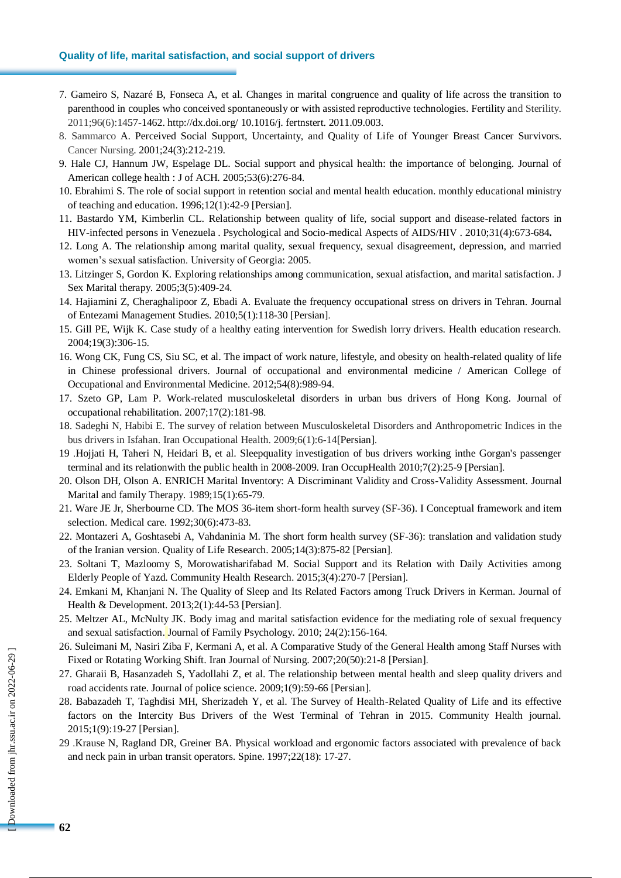## **Quality of life, marital satisfaction, and social support of drivers**

- 7. Gameiro S, Nazaré B, Fonseca A, et al. Changes in marital congruence and quality of life across the transition to parenthood in couples who conceived spontaneously or with assisted reproductive technologies. Fertility and Sterility. 2011;96(6):1457-1462[. http://dx.doi.org/](http://dx.doi.org/) 10.1016/j. fertnstert. 2011.09.003.
- 8. Sammarco A. Perceived Social Support, Uncertainty, and Quality of Life of Younger Breast Cancer Survivors. Cancer Nursing. 2001;24(3):212-219.
- 9. Hale CJ, Hannum JW, Espelage DL. Social support and physical health: the importance of belonging. Journal of American college health : J of ACH. 2005;53(6):276-84.
- 10. Ebrahimi S. The role of social support in retention social and mental health education. monthly educational ministry of teaching and education. 1996;12(1):42-9 [Persian].
- 11. Bastardo YM, Kimberlin CL. Relationship between quality of life, social support and disease-related factors in HIV-infected persons in Venezuela . Psychological and Socio-medical Aspects of AIDS/HIV . 2010;31(4):673-684**.**
- 12. Long A. The relationship among marital quality, sexual frequency, sexual disagreement, depression, and married women's sexual satisfaction. University of Georgia: 2005.
- 13. Litzinger S, Gordon K. Exploring relationships among communication, sexual atisfaction, and marital satisfaction. J Sex Marital therapy. 2005;3(5):409-24.
- 14. Hajiamini Z, Cheraghalipoor Z, Ebadi A. Evaluate the frequency occupational stress on drivers in Tehran. Journal of Entezami Management Studies. 2010;5(1):118-30 [Persian].
- 15. Gill PE, Wijk K. Case study of a healthy eating intervention for Swedish lorry drivers. Health education research. 2004;19(3):306-15.
- 16. Wong CK, Fung CS, Siu SC, et al. The impact of work nature, lifestyle, and obesity on health-related quality of life in Chinese professional drivers. Journal of occupational and environmental medicine / American College of Occupational and Environmental Medicine. 2012;54(8):989-94.
- 17. Szeto GP, Lam P. Work-related musculoskeletal disorders in urban bus drivers of Hong Kong. Journal of occupational rehabilitation. 2007;17(2):181-98.
- 18. Sadeghi N, Habibi E. The survey of relation between Musculoskeletal Disorders and Anthropometric Indices in the bus drivers in Isfahan. Iran Occupational Health. 2009;6(1):6-14[Persian].
- 19 .Hojjati H, Taheri N, Heidari B, et al. Sleepquality investigation of bus drivers working inthe Gorgan's passenger terminal and its relationwith the public health in 2008-2009. Iran OccupHealth 2010;7(2):25-9 [Persian].
- 20. Olson DH, Olson A. ENRICH Marital Inventory: A Discriminant Validity and Cross-Validity Assessment. Journal Marital and family Therapy. 1989;15(1):65-79.
- 21. Ware JE Jr, Sherbourne CD. The MOS 36-item short-form health survey (SF-36). I Conceptual framework and item selection. Medical care. 1992;30(6):473-83.
- 22. Montazeri A, Goshtasebi A, Vahdaninia M. The short form health survey (SF-36): translation and validation study of the Iranian version. Quality of Life Research. 2005;14(3):875-82 [Persian].
- 23. Soltani T, Mazloomy S, Morowatisharifabad M. Social Support and its Relation with Daily Activities among Elderly People of Yazd. Community Health Research. 2015;3(4):270-7 [Persian].
- 24. Emkani M, Khanjani N. The Quality of Sleep and Its Related Factors among Truck Drivers in Kerman. Journal of Health & Development. 2013;2(1):44-53 [Persian].
- 25. Meltzer AL, McNulty JK. Body imag and marital satisfaction evidence for the mediating role of sexual frequency and sexual satisfaction. Journal of Family Psychology. 2010; 24(2):156-164.
- 26. Suleimani M, Nasiri Ziba F, Kermani A, et al. A Comparative Study of the General Health among Staff Nurses with Fixed or Rotating Working Shift. Iran Journal of Nursing. 2007;20(50):21-8 [Persian].
- 27. Gharaii B, Hasanzadeh S, Yadollahi Z, et al. The relationship between mental health and sleep quality drivers and road accidents rate. Journal of police science. 2009;1(9):59-66 [Persian].
- 28. Babazadeh T, Taghdisi MH, Sherizadeh Y, et al. The Survey of Health-Related Quality of Life and its effective factors on the Intercity Bus Drivers of the West Terminal of Tehran in 2015. Community Health journal. 2015;1(9):19-27 [Persian].
- 29 .Krause N, Ragland DR, Greiner BA. Physical workload and ergonomic factors associated with prevalence of back and neck pain in urban transit operators. Spine. 1997;22(18): 17-27.